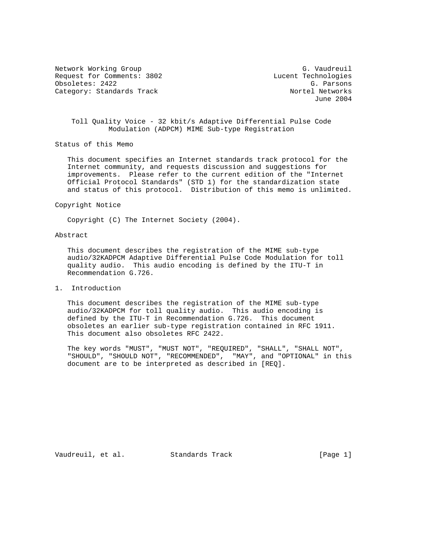Network Working Group G. Vaudreuil Request for Comments: 3802<br>
Obsoletes: 2422 G. Parsons Obsoletes: 2422 G. Parsons Category: Standards Track

June 2004

## Toll Quality Voice - 32 kbit/s Adaptive Differential Pulse Code Modulation (ADPCM) MIME Sub-type Registration

Status of this Memo

 This document specifies an Internet standards track protocol for the Internet community, and requests discussion and suggestions for improvements. Please refer to the current edition of the "Internet Official Protocol Standards" (STD 1) for the standardization state and status of this protocol. Distribution of this memo is unlimited.

### Copyright Notice

Copyright (C) The Internet Society (2004).

### Abstract

 This document describes the registration of the MIME sub-type audio/32KADPCM Adaptive Differential Pulse Code Modulation for toll quality audio. This audio encoding is defined by the ITU-T in Recommendation G.726.

1. Introduction

 This document describes the registration of the MIME sub-type audio/32KADPCM for toll quality audio. This audio encoding is defined by the ITU-T in Recommendation G.726. This document obsoletes an earlier sub-type registration contained in RFC 1911. This document also obsoletes RFC 2422.

 The key words "MUST", "MUST NOT", "REQUIRED", "SHALL", "SHALL NOT", "SHOULD", "SHOULD NOT", "RECOMMENDED", "MAY", and "OPTIONAL" in this document are to be interpreted as described in [REQ].

Vaudreuil, et al. Standards Track [Page 1]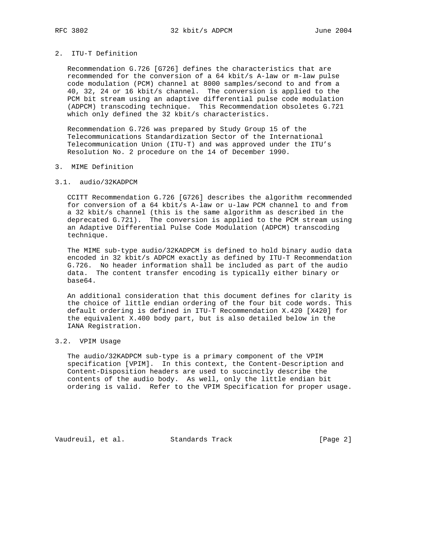## 2. ITU-T Definition

 Recommendation G.726 [G726] defines the characteristics that are recommended for the conversion of a 64 kbit/s A-law or m-law pulse code modulation (PCM) channel at 8000 samples/second to and from a 40, 32, 24 or 16 kbit/s channel. The conversion is applied to the PCM bit stream using an adaptive differential pulse code modulation (ADPCM) transcoding technique. This Recommendation obsoletes G.721 which only defined the 32 kbit/s characteristics.

 Recommendation G.726 was prepared by Study Group 15 of the Telecommunications Standardization Sector of the International Telecommunication Union (ITU-T) and was approved under the ITU's Resolution No. 2 procedure on the 14 of December 1990.

### 3. MIME Definition

### 3.1. audio/32KADPCM

 CCITT Recommendation G.726 [G726] describes the algorithm recommended for conversion of a 64 kbit/s A-law or u-law PCM channel to and from a 32 kbit/s channel (this is the same algorithm as described in the deprecated G.721). The conversion is applied to the PCM stream using an Adaptive Differential Pulse Code Modulation (ADPCM) transcoding technique.

 The MIME sub-type audio/32KADPCM is defined to hold binary audio data encoded in 32 kbit/s ADPCM exactly as defined by ITU-T Recommendation G.726. No header information shall be included as part of the audio data. The content transfer encoding is typically either binary or base64.

 An additional consideration that this document defines for clarity is the choice of little endian ordering of the four bit code words. This default ordering is defined in ITU-T Recommendation X.420 [X420] for the equivalent X.400 body part, but is also detailed below in the IANA Registration.

# 3.2. VPIM Usage

 The audio/32KADPCM sub-type is a primary component of the VPIM specification [VPIM]. In this context, the Content-Description and Content-Disposition headers are used to succinctly describe the contents of the audio body. As well, only the little endian bit ordering is valid. Refer to the VPIM Specification for proper usage.

Vaudreuil, et al. Standards Track [Page 2]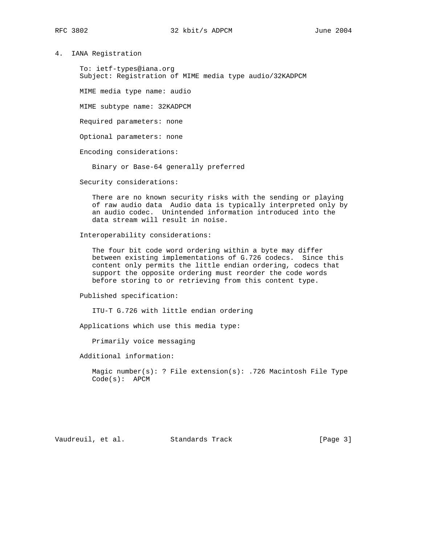4. IANA Registration

 To: ietf-types@iana.org Subject: Registration of MIME media type audio/32KADPCM

MIME media type name: audio

MIME subtype name: 32KADPCM

Required parameters: none

Optional parameters: none

Encoding considerations:

Binary or Base-64 generally preferred

Security considerations:

 There are no known security risks with the sending or playing of raw audio data Audio data is typically interpreted only by an audio codec. Unintended information introduced into the data stream will result in noise.

Interoperability considerations:

 The four bit code word ordering within a byte may differ between existing implementations of G.726 codecs. Since this content only permits the little endian ordering, codecs that support the opposite ordering must reorder the code words before storing to or retrieving from this content type.

Published specification:

ITU-T G.726 with little endian ordering

Applications which use this media type:

Primarily voice messaging

Additional information:

 Magic number(s): ? File extension(s): .726 Macintosh File Type Code(s): APCM

Vaudreuil, et al. Standards Track [Page 3]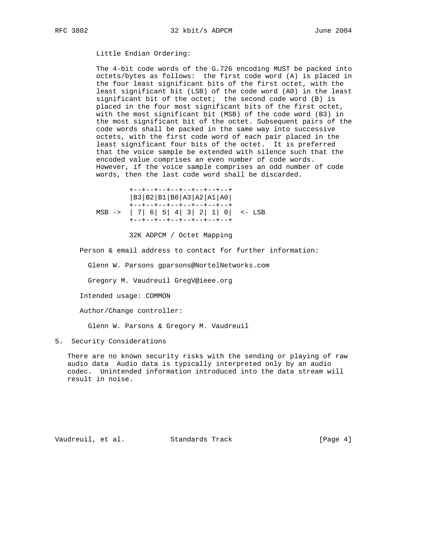Little Endian Ordering:

 The 4-bit code words of the G.726 encoding MUST be packed into octets/bytes as follows: the first code word (A) is placed in the four least significant bits of the first octet, with the least significant bit (LSB) of the code word (A0) in the least significant bit of the octet; the second code word (B) is placed in the four most significant bits of the first octet, with the most significant bit (MSB) of the code word (B3) in the most significant bit of the octet. Subsequent pairs of the code words shall be packed in the same way into successive octets, with the first code word of each pair placed in the least significant four bits of the octet. It is preferred that the voice sample be extended with silence such that the encoded value comprises an even number of code words. However, if the voice sample comprises an odd number of code words, then the last code word shall be discarded.

 +--+--+--+--+--+--+--+--+ |B3|B2|B1|B0|A3|A2|A1|A0| +--+--+--+--+--+--+--+--+ MSB -> | 7| 6| 5| 4| 3| 2| 1| 0| <- LSB +--+--+--+--+--+--+--+--+

32K ADPCM / Octet Mapping

Person & email address to contact for further information:

Glenn W. Parsons gparsons@NortelNetworks.com

Gregory M. Vaudreuil GregV@ieee.org

Intended usage: COMMON

Author/Change controller:

Glenn W. Parsons & Gregory M. Vaudreuil

5. Security Considerations

 There are no known security risks with the sending or playing of raw audio data Audio data is typically interpreted only by an audio codec. Unintended information introduced into the data stream will result in noise.

Vaudreuil, et al. Standards Track [Page 4]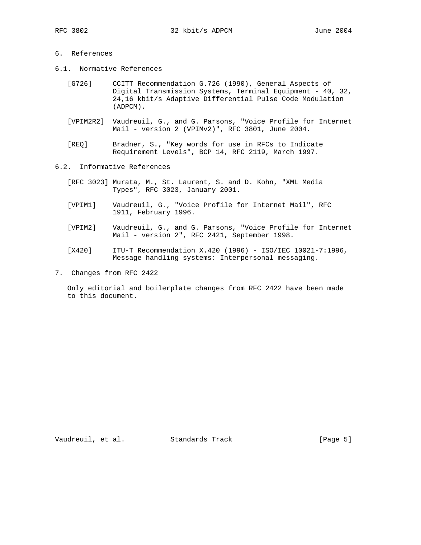# 6. References

- 6.1. Normative References
	- [G726] CCITT Recommendation G.726 (1990), General Aspects of Digital Transmission Systems, Terminal Equipment - 40, 32, 24,16 kbit/s Adaptive Differential Pulse Code Modulation (ADPCM).
	- [VPIM2R2] Vaudreuil, G., and G. Parsons, "Voice Profile for Internet Mail - version 2 (VPIMv2)", RFC 3801, June 2004.
	- [REQ] Bradner, S., "Key words for use in RFCs to Indicate Requirement Levels", BCP 14, RFC 2119, March 1997.
- 6.2. Informative References
	- [RFC 3023] Murata, M., St. Laurent, S. and D. Kohn, "XML Media Types", RFC 3023, January 2001.
	- [VPIM1] Vaudreuil, G., "Voice Profile for Internet Mail", RFC 1911, February 1996.
	- [VPIM2] Vaudreuil, G., and G. Parsons, "Voice Profile for Internet Mail - version 2", RFC 2421, September 1998.
	- [X420] ITU-T Recommendation X.420 (1996) ISO/IEC 10021-7:1996, Message handling systems: Interpersonal messaging.
- 7. Changes from RFC 2422

 Only editorial and boilerplate changes from RFC 2422 have been made to this document.

Vaudreuil, et al. Standards Track [Page 5]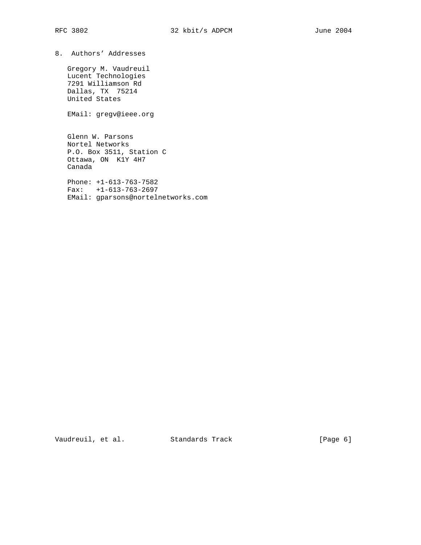8. Authors' Addresses

 Gregory M. Vaudreuil Lucent Technologies 7291 Williamson Rd Dallas, TX 75214 United States

EMail: gregv@ieee.org

 Glenn W. Parsons Nortel Networks P.O. Box 3511, Station C Ottawa, ON K1Y 4H7 Canada

 Phone: +1-613-763-7582 Fax: +1-613-763-2697 EMail: gparsons@nortelnetworks.com